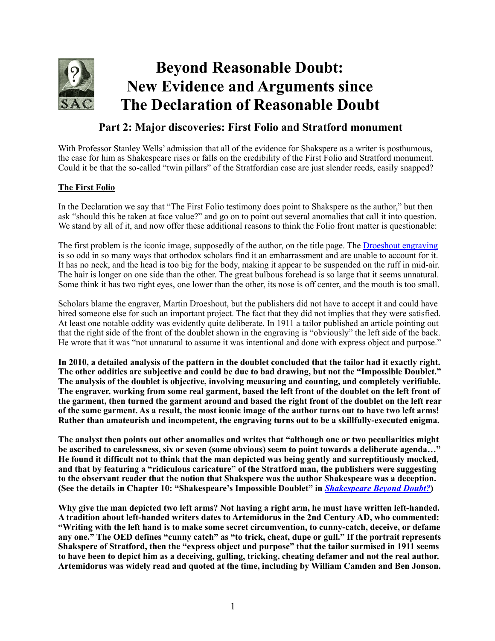

## **Part 2: Major discoveries: First Folio and Stratford monument**

With Professor Stanley Wells' admission that all of the evidence for Shakspere as a writer is posthumous, the case for him as Shakespeare rises or falls on the credibility of the First Folio and Stratford monument. Could it be that the so-called "twin pillars" of the Stratfordian case are just slender reeds, easily snapped?

## **The First Folio**

In the Declaration we say that "The First Folio testimony does point to Shakspere as the author," but then ask "should this be taken at face value?" and go on to point out several anomalies that call it into question. We stand by all of it, and now offer these additional reasons to think the Folio front matter is questionable:

The first problem is the iconic image, supposedly of the author, on the title page. The [Droeshout engraving](http://www.william-shakespeare.info/william-shakespeare-droeshout-engraving.htm) is so odd in so many ways that orthodox scholars find it an embarrassment and are unable to account for it. It has no neck, and the head is too big for the body, making it appear to be suspended on the ruff in mid-air. The hair is longer on one side than the other. The great bulbous forehead is so large that it seems unnatural. Some think it has two right eyes, one lower than the other, its nose is off center, and the mouth is too small.

Scholars blame the engraver, Martin Droeshout, but the publishers did not have to accept it and could have hired someone else for such an important project. The fact that they did not implies that they were satisfied. At least one notable oddity was evidently quite deliberate. In 1911 a tailor published an article pointing out that the right side of the front of the doublet shown in the engraving is "obviously" the left side of the back. He wrote that it was "not unnatural to assume it was intentional and done with express object and purpose."

**In 2010, a detailed analysis of the pattern in the doublet concluded that the tailor had it exactly right. The other oddities are subjective and could be due to bad drawing, but not the "Impossible Doublet." The analysis of the doublet is objective, involving measuring and counting, and completely verifiable. The engraver, working from some real garment, based the left front of the doublet on the left front of the garment, then turned the garment around and based the right front of the doublet on the left rear of the same garment. As a result, the most iconic image of the author turns out to have two left arms! Rather than amateurish and incompetent, the engraving turns out to be a skillfully-executed enigma.** 

**The analyst then points out other anomalies and writes that "although one or two peculiarities might be ascribed to carelessness, six or seven (some obvious) seem to point towards a deliberate agenda…" He found it difficult not to think that the man depicted was being gently and surreptitiously mocked, and that by featuring a "ridiculous caricature" of the Stratford man, the publishers were suggesting to the observant reader that the notion that Shakspere was the author Shakespeare was a deception. (See the details in Chapter 10: "Shakespeare's Impossible Doublet" in** *[Shakespeare Beyond Doubt?](https://doubtaboutwill.org/beyond_doubt)***)** 

**Why give the man depicted two left arms? Not having a right arm, he must have written left-handed. A tradition about left-handed writers dates to Artemidorus in the 2nd Century AD, who commented: "Writing with the left hand is to make some secret circumvention, to cunny-catch, deceive, or defame any one." The OED defines "cunny catch" as "to trick, cheat, dupe or gull." If the portrait represents Shakspere of Stratford, then the "express object and purpose" that the tailor surmised in 1911 seems to have been to depict him as a deceiving, gulling, tricking, cheating defamer and not the real author. Artemidorus was widely read and quoted at the time, including by William Camden and Ben Jonson.**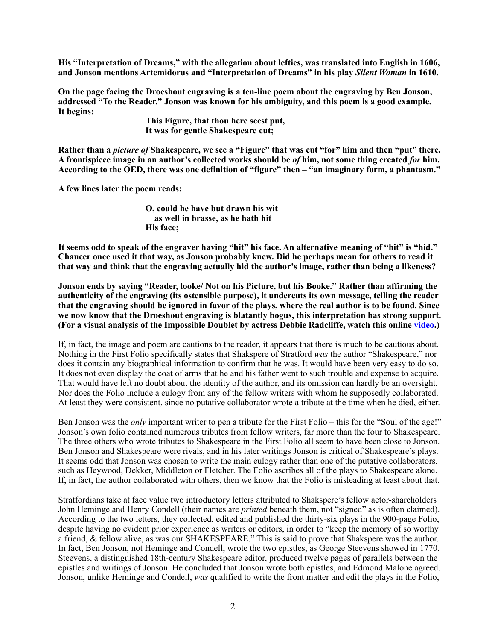**His "Interpretation of Dreams," with the allegation about lefties, was translated into English in 1606, and Jonson mentions Artemidorus and "Interpretation of Dreams" in his play** *Silent Woman* **in 1610.** 

**On the page facing the Droeshout engraving is a ten-line poem about the engraving by Ben Jonson, addressed "To the Reader." Jonson was known for his ambiguity, and this poem is a good example. It begins:** 

> **This Figure, that thou here seest put, It was for gentle Shakespeare cut;**

**Rather than a** *picture of* **Shakespeare, we see a "Figure" that was cut "for" him and then "put" there. A frontispiece image in an author's collected works should be** *of* **him, not some thing created** *for* **him. According to the OED, there was one definition of "figure" then – "an imaginary form, a phantasm."** 

**A few lines later the poem reads:** 

**O, could he have but drawn his wit as well in brasse, as he hath hit His face;** 

**It seems odd to speak of the engraver having "hit" his face. An alternative meaning of "hit" is "hid." Chaucer once used it that way, as Jonson probably knew. Did he perhaps mean for others to read it that way and think that the engraving actually hid the author's image, rather than being a likeness?** 

**Jonson ends by saying "Reader, looke/ Not on his Picture, but his Booke." Rather than affirming the authenticity of the engraving (its ostensible purpose), it undercuts its own message, telling the reader that the engraving should be ignored in favor of the plays, where the real author is to be found. Since we now know that the Droeshout engraving is blatantly bogus, this interpretation has strong support. (For a visual analysis of the Impossible Doublet by actress Debbie Radcliffe, watch this online [video](https://youtu.be/gCQt4pOMUqc).)**

If, in fact, the image and poem are cautions to the reader, it appears that there is much to be cautious about. Nothing in the First Folio specifically states that Shakspere of Stratford *was* the author "Shakespeare," nor does it contain any biographical information to confirm that he was. It would have been very easy to do so. It does not even display the coat of arms that he and his father went to such trouble and expense to acquire. That would have left no doubt about the identity of the author, and its omission can hardly be an oversight. Nor does the Folio include a eulogy from any of the fellow writers with whom he supposedly collaborated. At least they were consistent, since no putative collaborator wrote a tribute at the time when he died, either.

Ben Jonson was the *only* important writer to pen a tribute for the First Folio – this for the "Soul of the age!" Jonson's own folio contained numerous tributes from fellow writers, far more than the four to Shakespeare. The three others who wrote tributes to Shakespeare in the First Folio all seem to have been close to Jonson. Ben Jonson and Shakespeare were rivals, and in his later writings Jonson is critical of Shakespeare's plays. It seems odd that Jonson was chosen to write the main eulogy rather than one of the putative collaborators, such as Heywood, Dekker, Middleton or Fletcher. The Folio ascribes all of the plays to Shakespeare alone. If, in fact, the author collaborated with others, then we know that the Folio is misleading at least about that.

Stratfordians take at face value two introductory letters attributed to Shakspere's fellow actor-shareholders John Heminge and Henry Condell (their names are *printed* beneath them, not "signed" as is often claimed). According to the two letters, they collected, edited and published the thirty-six plays in the 900-page Folio, despite having no evident prior experience as writers or editors, in order to "keep the memory of so worthy a friend, & fellow alive, as was our SHAKESPEARE." This is said to prove that Shakspere was the author. In fact, Ben Jonson, not Heminge and Condell, wrote the two epistles, as George Steevens showed in 1770. Steevens, a distinguished 18th-century Shakespeare editor, produced twelve pages of parallels between the epistles and writings of Jonson. He concluded that Jonson wrote both epistles, and Edmond Malone agreed. Jonson, unlike Heminge and Condell, *was* qualified to write the front matter and edit the plays in the Folio,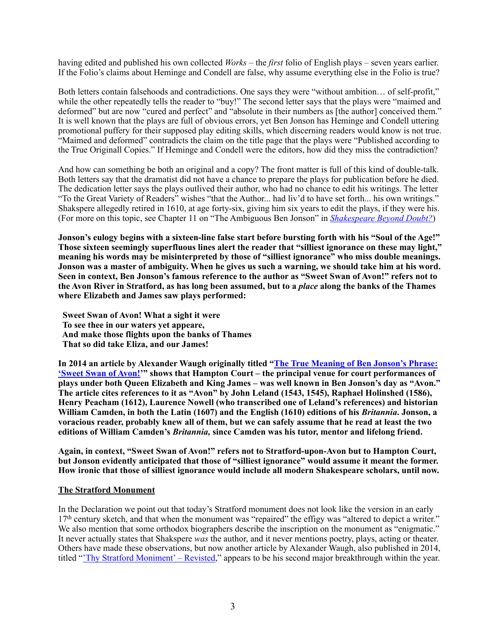having edited and published his own collected *Works* – the *first* folio of English plays – seven years earlier. If the Folio's claims about Heminge and Condell are false, why assume everything else in the Folio is true?

Both letters contain falsehoods and contradictions. One says they were "without ambition… of self-profit," while the other repeatedly tells the reader to "buy!" The second letter says that the plays were "maimed and deformed" but are now "cured and perfect" and "absolute in their numbers as [the author] conceived them." It is well known that the plays are full of obvious errors, yet Ben Jonson has Heminge and Condell uttering promotional puffery for their supposed play editing skills, which discerning readers would know is not true. "Maimed and deformed" contradicts the claim on the title page that the plays were "Published according to the True Originall Copies." If Heminge and Condell were the editors, how did they miss the contradiction?

And how can something be both an original and a copy? The front matter is full of this kind of double-talk. Both letters say that the dramatist did not have a chance to prepare the plays for publication before he died. The dedication letter says the plays outlived their author, who had no chance to edit his writings. The letter "To the Great Variety of Readers" wishes "that the Author... had liv'd to have set forth... his own writings." Shakspere allegedly retired in 1610, at age forty-six, giving him six years to edit the plays, if they were his. (For more on this topic, see Chapter 11 on "The Ambiguous Ben Jonson" in *[Shakespeare Beyond Doubt?](https://doubtaboutwill.org/beyond_doubt)*)

**Jonson's eulogy begins with a sixteen-line false start before bursting forth with his "Soul of the Age!" Those sixteen seemingly superfluous lines alert the reader that "silliest ignorance on these may light," meaning his words may be misinterpreted by those of "silliest ignorance" who miss double meanings. Jonson was a master of ambiguity. When he gives us such a warning, we should take him at his word. Seen in context, Ben Jonson's famous reference to the author as "Sweet Swan of Avon!" refers not to the Avon River in Stratford, as has long been assumed, but to a** *place* **along the banks of the Thames where Elizabeth and James saw plays performed:**

 **Sweet Swan of Avon! What a sight it were To see thee in our waters yet appeare, And make those flights upon the banks of Thames That so did take Eliza, and our James!** 

**[In 2014 an article by Alexander Waugh originally titled "The True Meaning of Ben Jonson's Phrase:](http://shakespeareoxfordfellowship.org/wp-content/uploads/Waugh.Swan-of-Avon.pdf)  'Sweet Swan of Avon!'" shows that Hampton Court – the principal venue for court performances of plays under both Queen Elizabeth and King James – was well known in Ben Jonson's day as "Avon." The article cites references to it as "Avon" by John Leland (1543, 1545), Raphael Holinshed (1586), Henry Peacham (1612), Laurence Nowell (who transcribed one of Leland's references) and historian William Camden, in both the Latin (1607) and the English (1610) editions of his** *Britannia***. Jonson, a voracious reader, probably knew all of them, but we can safely assume that he read at least the two editions of William Camden's** *Britannia,* **since Camden was his tutor, mentor and lifelong friend.** 

**Again, in context, "Sweet Swan of Avon!" refers not to Stratford-upon-Avon but to Hampton Court, but Jonson evidently anticipated that those of "silliest ignorance" would assume it meant the former. How ironic that those of silliest ignorance would include all modern Shakespeare scholars, until now.** 

## **The Stratford Monument**

In the Declaration we point out that today's Stratford monument does not look like the version in an early 17th century sketch, and that when the monument was "repaired" the effigy was "altered to depict a writer." We also mention that some orthodox biographers describe the inscription on the monument as "enigmatic." It never actually states that Shakspere *was* the author, and it never mentions poetry, plays, acting or theater. Others have made these observations, but now another article by Alexander Waugh, also published in 2014, titled ["'Thy Stratford Moniment' – Revisted](http://shakespeareoxfordfellowship.org/thy-stratford-moniment-revisited/)," appears to be his second major breakthrough within the year.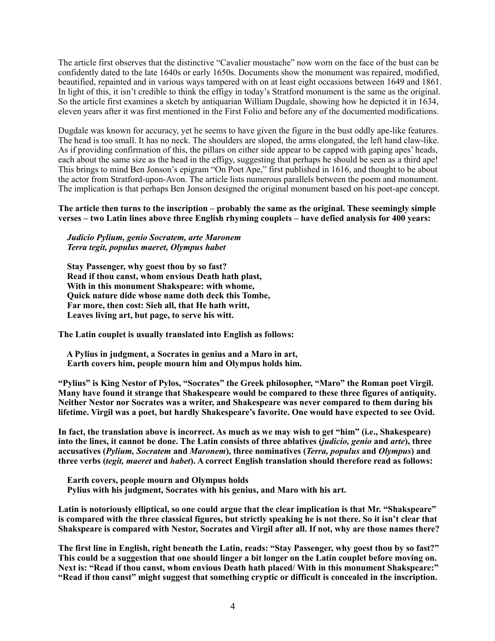The article first observes that the distinctive "Cavalier moustache" now worn on the face of the bust can be confidently dated to the late 1640s or early 1650s. Documents show the monument was repaired, modified, beautified, repainted and in various ways tampered with on at least eight occasions between 1649 and 1861. In light of this, it isn't credible to think the effigy in today's Stratford monument is the same as the original. So the article first examines a sketch by antiquarian William Dugdale, showing how he depicted it in 1634, eleven years after it was first mentioned in the First Folio and before any of the documented modifications.

Dugdale was known for accuracy, yet he seems to have given the figure in the bust oddly ape-like features. The head is too small. It has no neck. The shoulders are sloped, the arms elongated, the left hand claw-like. As if providing confirmation of this, the pillars on either side appear to be capped with gaping apes' heads, each about the same size as the head in the effigy, suggesting that perhaps he should be seen as a third ape! This brings to mind Ben Jonson's epigram "On Poet Ape," first published in 1616, and thought to be about the actor from Stratford-upon-Avon. The article lists numerous parallels between the poem and monument. The implication is that perhaps Ben Jonson designed the original monument based on his poet-ape concept.

**The article then turns to the inscription – probably the same as the original. These seemingly simple verses – two Latin lines above three English rhyming couplets – have defied analysis for 400 years:** 

*Judicio Pylium, genio Socratem, arte Maronem Terra tegit, populus maeret, Olympus habet*

 **Stay Passenger, why goest thou by so fast? Read if thou canst, whom envious Death hath plast, With in this monument Shakspeare: with whome, Quick nature dide whose name doth deck this Tombe, Far more, then cost: Sieh all, that He hath writt, Leaves living art, but page, to serve his witt.** 

**The Latin couplet is usually translated into English as follows:** 

 **A Pylius in judgment, a Socrates in genius and a Maro in art, Earth covers him, people mourn him and Olympus holds him.** 

**"Pylius" is King Nestor of Pylos, "Socrates" the Greek philosopher, "Maro" the Roman poet Virgil. Many have found it strange that Shakespeare would be compared to these three figures of antiquity. Neither Nestor nor Socrates was a writer, and Shakespeare was never compared to them during his lifetime. Virgil was a poet, but hardly Shakespeare's favorite. One would have expected to see Ovid.** 

**In fact, the translation above is incorrect. As much as we may wish to get "him" (i.e., Shakespeare) into the lines, it cannot be done. The Latin consists of three ablatives (***judicio, genio* **and** *arte***), three accusatives (***Pylium, Socratem* **and** *Maronem***), three nominatives (***Terra, populus* **and** *Olympus***) and three verbs (***tegit, maeret* **and** *habet***). A correct English translation should therefore read as follows:** 

 **Earth covers, people mourn and Olympus holds Pylius with his judgment, Socrates with his genius, and Maro with his art.** 

**Latin is notoriously elliptical, so one could argue that the clear implication is that Mr. "Shakspeare" is compared with the three classical figures, but strictly speaking he is not there. So it isn't clear that Shakspeare is compared with Nestor, Socrates and Virgil after all. If not, why are those names there?** 

**The first line in English, right beneath the Latin, reads: "Stay Passenger, why goest thou by so fast?" This could be a suggestion that one should linger a bit longer on the Latin couplet before moving on. Next is: "Read if thou canst, whom envious Death hath placed/ With in this monument Shakspeare:" "Read if thou canst" might suggest that something cryptic or difficult is concealed in the inscription.**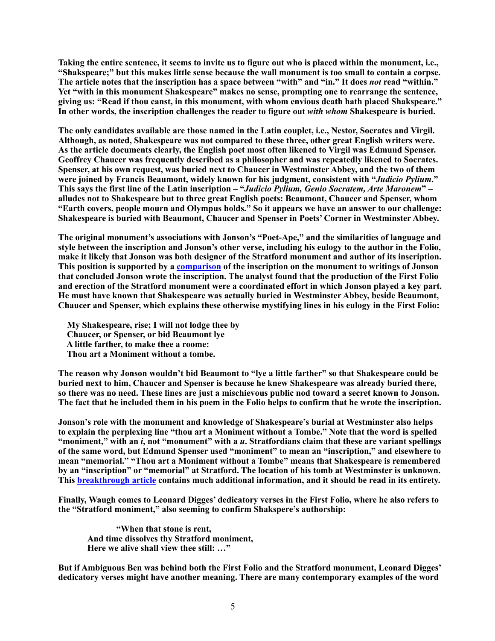**Taking the entire sentence, it seems to invite us to figure out who is placed within the monument, i.e., "Shakspeare;" but this makes little sense because the wall monument is too small to contain a corpse. The article notes that the inscription has a space between "with" and "in." It does** *not* **read "within." Yet "with in this monument Shakespeare" makes no sense, prompting one to rearrange the sentence, giving us: "Read if thou canst, in this monument, with whom envious death hath placed Shakspeare." In other words, the inscription challenges the reader to figure out** *with whom* **Shakespeare is buried.** 

**The only candidates available are those named in the Latin couplet, i.e., Nestor, Socrates and Virgil. Although, as noted, Shakespeare was not compared to these three, other great English writers were. As the article documents clearly, the English poet most often likened to Virgil was Edmund Spenser. Geoffrey Chaucer was frequently described as a philosopher and was repeatedly likened to Socrates. Spenser, at his own request, was buried next to Chaucer in Westminster Abbey, and the two of them were joined by Francis Beaumont, widely known for his judgment, consistent with "***Judicio Pylium***." This says the first line of the Latin inscription – "***Judicio Pylium, Genio Socratem, Arte Maronem***" – alludes not to Shakespeare but to three great English poets: Beaumont, Chaucer and Spenser, whom "Earth covers, people mourn and Olympus holds." So it appears we have an answer to our challenge: Shakespeare is buried with Beaumont, Chaucer and Spenser in Poets' Corner in Westminster Abbey.** 

**The original monument's associations with Jonson's "Poet-Ape," and the similarities of language and style between the inscription and Jonson's other verse, including his eulogy to the author in the Folio, make it likely that Jonson was both designer of the Stratford monument and author of its inscription. This position is supported by a [comparison](http://www.oxford-shakespeare.com/Newsletters/Stratford_Monument-09.pdf) of the inscription on the monument to writings of Jonson that concluded Jonson wrote the inscription. The analyst found that the production of the First Folio and erection of the Stratford monument were a coordinated effort in which Jonson played a key part. He must have known that Shakespeare was actually buried in Westminster Abbey, beside Beaumont, Chaucer and Spenser, which explains these otherwise mystifying lines in his eulogy in the First Folio:** 

 **My Shakespeare, rise; I will not lodge thee by Chaucer, or Spenser, or bid Beaumont lye A little farther, to make thee a roome: Thou art a Moniment without a tombe.** 

**The reason why Jonson wouldn't bid Beaumont to "lye a little farther" so that Shakespeare could be buried next to him, Chaucer and Spenser is because he knew Shakespeare was already buried there, so there was no need. These lines are just a mischievous public nod toward a secret known to Jonson. The fact that he included them in his poem in the Folio helps to confirm that he wrote the inscription.** 

**Jonson's role with the monument and knowledge of Shakespeare's burial at Westminster also helps to explain the perplexing line "thou art a Moniment without a Tombe." Note that the word is spelled "moniment," with an** *i***, not "monument" with a** *u***. Stratfordians claim that these are variant spellings of the same word, but Edmund Spenser used "moniment" to mean an "inscription," and elsewhere to mean "memorial." "Thou art a Moniment without a Tombe" means that Shakespeare is remembered by an "inscription" or "memorial" at Stratford. The location of his tomb at Westminster is unknown. This [breakthrough article](http://shakespeareoxfordfellowship.org/thy-stratford-moniment-revisited/) contains much additional information, and it should be read in its entirety.** 

**Finally, Waugh comes to Leonard Digges' dedicatory verses in the First Folio, where he also refers to the "Stratford moniment," also seeming to confirm Shakspere's authorship:** 

 **"When that stone is rent, And time dissolves thy Stratford moniment, Here we alive shall view thee still: …"** 

**But if Ambiguous Ben was behind both the First Folio and the Stratford monument, Leonard Digges' dedicatory verses might have another meaning. There are many contemporary examples of the word**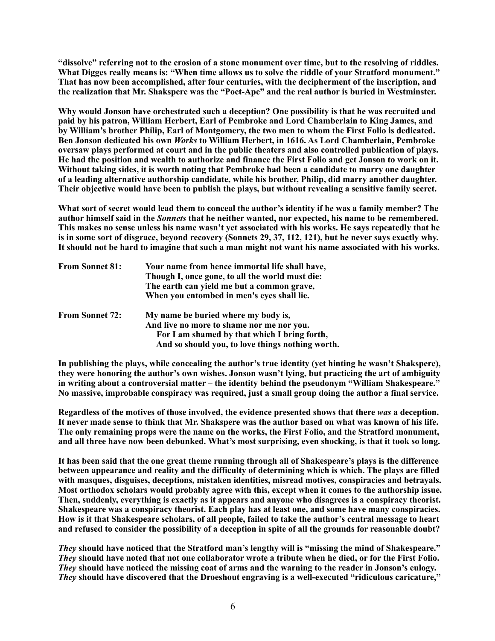**"dissolve" referring not to the erosion of a stone monument over time, but to the resolving of riddles. What Digges really means is: "When time allows us to solve the riddle of your Stratford monument." That has now been accomplished, after four centuries, with the decipherment of the inscription, and the realization that Mr. Shakspere was the "Poet-Ape" and the real author is buried in Westminster.** 

**Why would Jonson have orchestrated such a deception? One possibility is that he was recruited and paid by his patron, William Herbert, Earl of Pembroke and Lord Chamberlain to King James, and by William's brother Philip, Earl of Montgomery, the two men to whom the First Folio is dedicated. Ben Jonson dedicated his own** *Works* **to William Herbert, in 1616. As Lord Chamberlain, Pembroke oversaw plays performed at court and in the public theaters and also controlled publication of plays. He had the position and wealth to authorize and finance the First Folio and get Jonson to work on it. Without taking sides, it is worth noting that Pembroke had been a candidate to marry one daughter of a leading alternative authorship candidate, while his brother, Philip, did marry another daughter. Their objective would have been to publish the plays, but without revealing a sensitive family secret.** 

**What sort of secret would lead them to conceal the author's identity if he was a family member? The author himself said in the** *Sonnets* **that he neither wanted, nor expected, his name to be remembered. This makes no sense unless his name wasn't yet associated with his works. He says repeatedly that he is in some sort of disgrace, beyond recovery (Sonnets 29, 37, 112, 121), but he never says exactly why. It should not be hard to imagine that such a man might not want his name associated with his works.** 

| <b>From Sonnet 81:</b> | Your name from hence immortal life shall have,<br>Though I, once gone, to all the world must die:<br>The earth can yield me but a common grave,<br>When you entombed in men's eyes shall lie. |
|------------------------|-----------------------------------------------------------------------------------------------------------------------------------------------------------------------------------------------|
| <b>From Sonnet 72:</b> | My name be buried where my body is,<br>And live no more to shame nor me nor you.<br>For I am shamed by that which I bring forth,<br>And so should you, to love things nothing worth.          |

**In publishing the plays, while concealing the author's true identity (yet hinting he wasn't Shakspere), they were honoring the author's own wishes. Jonson wasn't lying, but practicing the art of ambiguity in writing about a controversial matter – the identity behind the pseudonym "William Shakespeare." No massive, improbable conspiracy was required, just a small group doing the author a final service.** 

**Regardless of the motives of those involved, the evidence presented shows that there** *was* **a deception. It never made sense to think that Mr. Shakspere was the author based on what was known of his life. The only remaining props were the name on the works, the First Folio, and the Stratford monument, and all three have now been debunked. What's most surprising, even shocking, is that it took so long.** 

**It has been said that the one great theme running through all of Shakespeare's plays is the difference between appearance and reality and the difficulty of determining which is which. The plays are filled with masques, disguises, deceptions, mistaken identities, misread motives, conspiracies and betrayals. Most orthodox scholars would probably agree with this, except when it comes to the authorship issue. Then, suddenly, everything is exactly as it appears and anyone who disagrees is a conspiracy theorist. Shakespeare was a conspiracy theorist. Each play has at least one, and some have many conspiracies. How is it that Shakespeare scholars, of all people, failed to take the author's central message to heart and refused to consider the possibility of a deception in spite of all the grounds for reasonable doubt?** 

*They* **should have noticed that the Stratford man's lengthy will is "missing the mind of Shakespeare."**  *They* **should have noted that not one collaborator wrote a tribute when he died, or for the First Folio.**  *They* **should have noticed the missing coat of arms and the warning to the reader in Jonson's eulogy.**  *They* **should have discovered that the Droeshout engraving is a well-executed "ridiculous caricature,"**